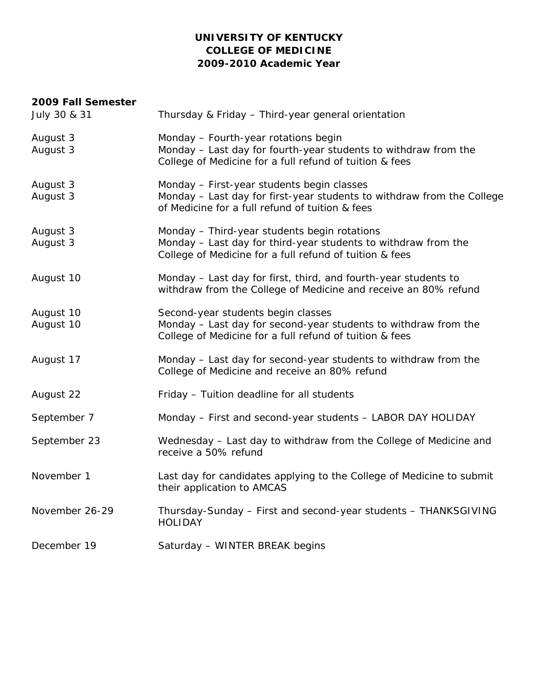### **UNIVERSITY OF KENTUCKY COLLEGE OF MEDICINE 2009-2010 Academic Year**

#### **2009 Fall Semester**

| Thursday & Friday - Third-year general orientation                                                                                                                        |
|---------------------------------------------------------------------------------------------------------------------------------------------------------------------------|
| Monday - Fourth-year rotations begin<br>Monday - Last day for fourth-year students to withdraw from the<br>College of Medicine for a full refund of tuition & fees        |
| Monday - First-year students begin classes<br>Monday - Last day for first-year students to withdraw from the College<br>of Medicine for a full refund of tuition & fees   |
| Monday - Third-year students begin rotations<br>Monday - Last day for third-year students to withdraw from the<br>College of Medicine for a full refund of tuition & fees |
| Monday - Last day for first, third, and fourth-year students to<br>withdraw from the College of Medicine and receive an 80% refund                                        |
| Second-year students begin classes<br>Monday - Last day for second-year students to withdraw from the<br>College of Medicine for a full refund of tuition & fees          |
| Monday - Last day for second-year students to withdraw from the<br>College of Medicine and receive an 80% refund                                                          |
| Friday - Tuition deadline for all students                                                                                                                                |
| Monday - First and second-year students - LABOR DAY HOLIDAY                                                                                                               |
| Wednesday - Last day to withdraw from the College of Medicine and<br>receive a 50% refund                                                                                 |
| Last day for candidates applying to the College of Medicine to submit<br>their application to AMCAS                                                                       |
| Thursday-Sunday - First and second-year students - THANKSGIVING<br><b>HOLIDAY</b>                                                                                         |
| Saturday - WINTER BREAK begins                                                                                                                                            |
|                                                                                                                                                                           |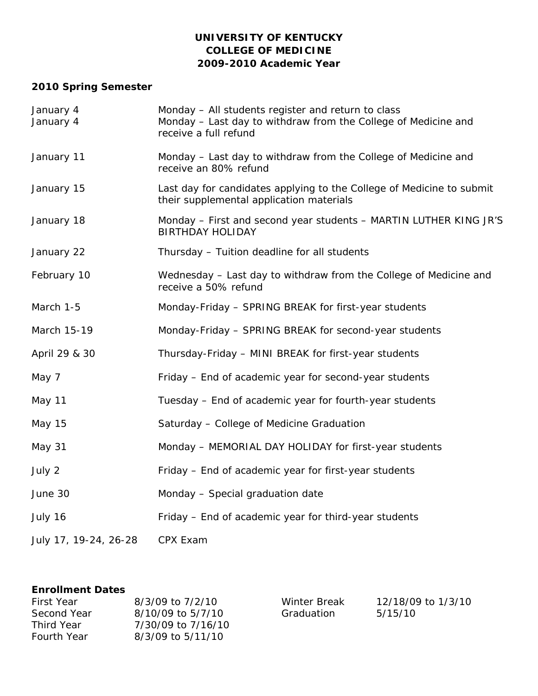### **UNIVERSITY OF KENTUCKY COLLEGE OF MEDICINE 2009-2010 Academic Year**

# **2010 Spring Semester**

| January 4<br>January 4 | Monday - All students register and return to class<br>Monday - Last day to withdraw from the College of Medicine and<br>receive a full refund |
|------------------------|-----------------------------------------------------------------------------------------------------------------------------------------------|
| January 11             | Monday - Last day to withdraw from the College of Medicine and<br>receive an 80% refund                                                       |
| January 15             | Last day for candidates applying to the College of Medicine to submit<br>their supplemental application materials                             |
| January 18             | Monday – First and second year students – MARTIN LUTHER KING JR'S<br><b>BIRTHDAY HOLIDAY</b>                                                  |
| January 22             | Thursday - Tuition deadline for all students                                                                                                  |
| February 10            | Wednesday - Last day to withdraw from the College of Medicine and<br>receive a 50% refund                                                     |
| March 1-5              | Monday-Friday - SPRING BREAK for first-year students                                                                                          |
| March 15-19            | Monday-Friday - SPRING BREAK for second-year students                                                                                         |
| April 29 & 30          | Thursday-Friday - MINI BREAK for first-year students                                                                                          |
| May 7                  | Friday – End of academic year for second-year students                                                                                        |
| May 11                 | Tuesday - End of academic year for fourth-year students                                                                                       |
| May 15                 | Saturday - College of Medicine Graduation                                                                                                     |
| May 31                 | Monday - MEMORIAL DAY HOLIDAY for first-year students                                                                                         |
| July 2                 | Friday - End of academic year for first-year students                                                                                         |
| June 30                | Monday - Special graduation date                                                                                                              |
| July 16                | Friday - End of academic year for third-year students                                                                                         |
| July 17, 19-24, 26-28  | CPX Exam                                                                                                                                      |

### **Enrollment Dates**

| <b>First Year</b>  | 8/3/09 to 7/2/10   |
|--------------------|--------------------|
| Second Year        | 8/10/09 to 5/7/10  |
| Third Year         | 7/30/09 to 7/16/10 |
| <b>Fourth Year</b> | 8/3/09 to 5/11/10  |

Winter Break Graduation

12/18/09 to 1/3/10 5/15/10